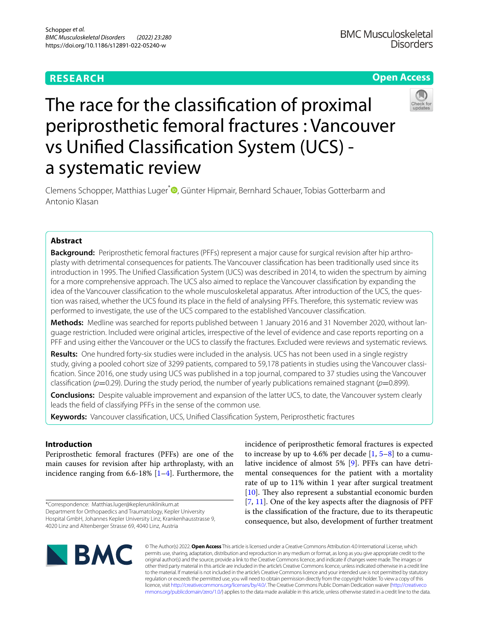# **RESEARCH**

# **Open Access**



# The race for the classifcation of proximal periprosthetic femoral fractures : Vancouver vs Unifed Classifcation System (UCS) a systematic review

Clemens Schopper, Matthias Luger<sup>[\\*](https://orcid.org/0000-0002-4708-5254)</sup> <sup>O</sup>, Günter Hipmair, Bernhard Schauer, Tobias Gotterbarm and Antonio Klasan

# **Abstract**

**Background:** Periprosthetic femoral fractures (PFFs) represent a major cause for surgical revision after hip arthroplasty with detrimental consequences for patients. The Vancouver classifcation has been traditionally used since its introduction in 1995. The Unifed Classifcation System (UCS) was described in 2014, to widen the spectrum by aiming for a more comprehensive approach. The UCS also aimed to replace the Vancouver classifcation by expanding the idea of the Vancouver classifcation to the whole musculoskeletal apparatus. After introduction of the UCS, the question was raised, whether the UCS found its place in the feld of analysing PFFs. Therefore, this systematic review was performed to investigate, the use of the UCS compared to the established Vancouver classifcation.

**Methods:** Medline was searched for reports published between 1 January 2016 and 31 November 2020, without language restriction. Included were original articles, irrespective of the level of evidence and case reports reporting on a PFF and using either the Vancouver or the UCS to classify the fractures. Excluded were reviews and systematic reviews.

**Results:** One hundred forty-six studies were included in the analysis. UCS has not been used in a single registry study, giving a pooled cohort size of 3299 patients, compared to 59,178 patients in studies using the Vancouver classifcation. Since 2016, one study using UCS was published in a top journal, compared to 37 studies using the Vancouver classification ( $p=0.29$ ). During the study period, the number of yearly publications remained stagnant ( $p=0.899$ ).

**Conclusions:** Despite valuable improvement and expansion of the latter UCS, to date, the Vancouver system clearly leads the feld of classifying PFFs in the sense of the common use.

**Keywords:** Vancouver classifcation, UCS, Unifed Classifcation System, Periprosthetic fractures

# **Introduction**

Periprosthetic femoral fractures (PFFs) are one of the main causes for revision after hip arthroplasty, with an incidence ranging from 6.6-18% [\[1](#page-7-0)[–4](#page-7-1)]. Furthermore, the

\*Correspondence: Matthias.luger@kepleruniklinikum.at Department for Orthopaedics and Traumatology, Kepler University Hospital GmbH, Johannes Kepler University Linz, Krankenhausstrasse 9, 4020 Linz and Altenberger Strasse 69, 4040 Linz, Austria

incidence of periprosthetic femoral fractures is expected to increase by up to 4.6% per decade  $[1, 5-8]$  $[1, 5-8]$  $[1, 5-8]$  $[1, 5-8]$  $[1, 5-8]$  to a cumulative incidence of almost 5% [\[9](#page-7-4)]. PFFs can have detrimental consequences for the patient with a mortality rate of up to 11% within 1 year after surgical treatment [[10\]](#page-7-5). They also represent a substantial economic burden [[7,](#page-7-6) [11\]](#page-7-7). One of the key aspects after the diagnosis of PFF is the classifcation of the fracture, due to its therapeutic consequence, but also, development of further treatment



© The Author(s) 2022. **Open Access** This article is licensed under a Creative Commons Attribution 4.0 International License, which permits use, sharing, adaptation, distribution and reproduction in any medium or format, as long as you give appropriate credit to the original author(s) and the source, provide a link to the Creative Commons licence, and indicate if changes were made. The images or other third party material in this article are included in the article's Creative Commons licence, unless indicated otherwise in a credit line to the material. If material is not included in the article's Creative Commons licence and your intended use is not permitted by statutory regulation or exceeds the permitted use, you will need to obtain permission directly from the copyright holder. To view a copy of this licence, visit [http://creativecommons.org/licenses/by/4.0/.](http://creativecommons.org/licenses/by/4.0/) The Creative Commons Public Domain Dedication waiver ([http://creativeco](http://creativecommons.org/publicdomain/zero/1.0/) [mmons.org/publicdomain/zero/1.0/](http://creativecommons.org/publicdomain/zero/1.0/)) applies to the data made available in this article, unless otherwise stated in a credit line to the data.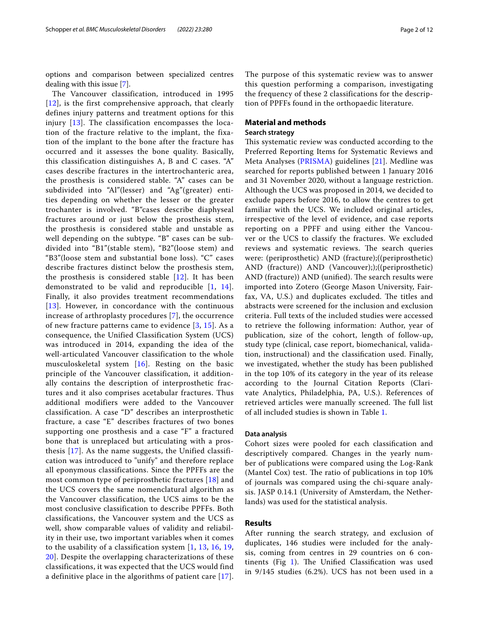options and comparison between specialized centres dealing with this issue [\[7](#page-7-6)].

The Vancouver classification, introduced in 1995 [[12](#page-7-8)], is the first comprehensive approach, that clearly defines injury patterns and treatment options for this injury [[13](#page-7-9)]. The classification encompasses the location of the fracture relative to the implant, the fixation of the implant to the bone after the fracture has occurred and it assesses the bone quality. Basically, this classification distinguishes A, B and C cases. "A" cases describe fractures in the intertrochanteric area, the prosthesis is considered stable. "A" cases can be subdivided into "Al"(lesser) and "Ag"(greater) entities depending on whether the lesser or the greater trochanter is involved. "B"cases describe diaphyseal fractures around or just below the prosthesis stem, the prosthesis is considered stable and unstable as well depending on the subtype. "B" cases can be subdivided into "B1"(stable stem), "B2"(loose stem) and "B3"(loose stem and substantial bone loss). "C" cases describe fractures distinct below the prosthesis stem, the prosthesis is considered stable  $[12]$  $[12]$  $[12]$ . It has been demonstrated to be valid and reproducible [[1,](#page-7-0) [14\]](#page-7-10). Finally, it also provides treatment recommendations [[13](#page-7-9)]. However, in concordance with the continuous increase of arthroplasty procedures [[7\]](#page-7-6), the occurrence of new fracture patterns came to evidence [[3](#page-7-11), [15\]](#page-7-12). As a consequence, the Unified Classification System (UCS) was introduced in 2014, expanding the idea of the well-articulated Vancouver classification to the whole musculoskeletal system [[16\]](#page-7-13). Resting on the basic principle of the Vancouver classification, it additionally contains the description of interprosthetic fractures and it also comprises acetabular fractures. Thus additional modifiers were added to the Vancouver classification. A case "D" describes an interprosthetic fracture, a case "E" describes fractures of two bones supporting one prosthesis and a case "F" a fractured bone that is unreplaced but articulating with a prosthesis [[17\]](#page-7-14). As the name suggests, the Unified classification was introduced to "unify" and therefore replace all eponymous classifications. Since the PPFFs are the most common type of periprosthetic fractures [[18](#page-7-15)] and the UCS covers the same nomenclatural algorithm as the Vancouver classification, the UCS aims to be the most conclusive classification to describe PPFFs. Both classifications, the Vancouver system and the UCS as well, show comparable values of validity and reliability in their use, two important variables when it comes to the usability of a classification system [[1,](#page-7-0) [13](#page-7-9), [16,](#page-7-13) [19](#page-7-16), [20\]](#page-7-17). Despite the overlapping characterizations of these classifications, it was expected that the UCS would find a definitive place in the algorithms of patient care [[17\]](#page-7-14). The purpose of this systematic review was to answer this question performing a comparison, investigating the frequency of these 2 classifications for the description of PPFFs found in the orthopaedic literature.

#### **Material and methods**

#### **Search strategy**

This systematic review was conducted according to the Preferred Reporting Items for Systematic Reviews and Meta Analyses [\(PRISMA\)](#page-6-0) guidelines [[21](#page-7-18)]. Medline was searched for reports published between 1 January 2016 and 31 November 2020, without a language restriction. Although the UCS was proposed in 2014, we decided to exclude papers before 2016, to allow the centres to get familiar with the UCS. We included original articles, irrespective of the level of evidence, and case reports reporting on a PPFF and using either the Vancouver or the UCS to classify the fractures. We excluded reviews and systematic reviews. The search queries were: (periprosthetic) AND (fracture);((periprosthetic) AND (fracture)) AND (Vancouver););((periprosthetic) AND (fracture)) AND (unified). The search results were imported into Zotero (George Mason University, Fairfax, VA, U.S.) and duplicates excluded. The titles and abstracts were screened for the inclusion and exclusion criteria. Full texts of the included studies were accessed to retrieve the following information: Author, year of publication, size of the cohort, length of follow-up, study type (clinical, case report, biomechanical, validation, instructional) and the classifcation used. Finally, we investigated, whether the study has been published in the top 10% of its category in the year of its release according to the Journal Citation Reports (Clarivate Analytics, Philadelphia, PA, U.S.). References of retrieved articles were manually screened. The full list of all included studies is shown in Table [1](#page-2-0).

#### **Data analysis**

Cohort sizes were pooled for each classifcation and descriptively compared. Changes in the yearly number of publications were compared using the Log-Rank (Mantel Cox) test. The ratio of publications in top  $10\%$ of journals was compared using the chi-square analysis. JASP 0.14.1 (University of Amsterdam, the Netherlands) was used for the statistical analysis.

#### **Results**

After running the search strategy, and exclusion of duplicates, 146 studies were included for the analysis, coming from centres in 29 countries on 6 continents (Fig  $1$ ). The Unified Classification was used in 9/145 studies (6.2%). UCS has not been used in a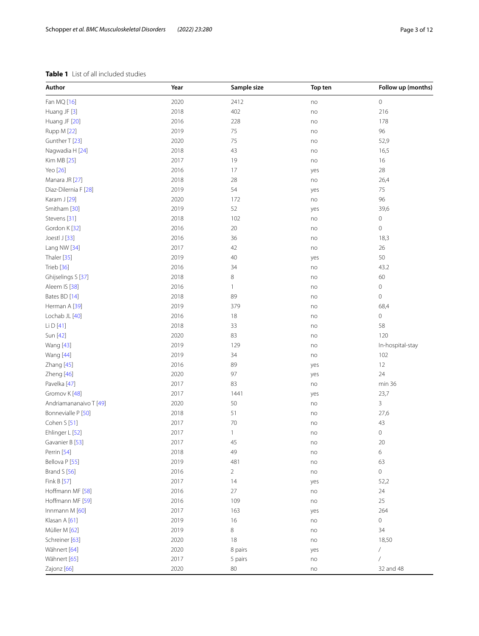### <span id="page-2-0"></span>**Table 1** List of all included studies

| Author                 | Year | Sample size    | Top ten | Follow up (months)  |
|------------------------|------|----------------|---------|---------------------|
| Fan MQ [16]            | 2020 | 2412           | no      | $\mathbf 0$         |
| Huang JF [3]           | 2018 | 402            | no      | 216                 |
| Huang JF [20]          | 2016 | 228            | no      | 178                 |
| Rupp M [22]            | 2019 | 75             | no      | 96                  |
| Gunther T [23]         | 2020 | 75             | no      | 52,9                |
| Nagwadia H [24]        | 2018 | 43             | no      | 16,5                |
| Kim MB [25]            | 2017 | 19             | no      | 16                  |
| Yeo [26]               | 2016 | 17             | yes     | 28                  |
| Manara JR [27]         | 2018 | 28             | no      | 26,4                |
| Diaz-Dilernia F [28]   | 2019 | 54             | yes     | 75                  |
| Karam J [29]           | 2020 | 172            | no      | 96                  |
| Smitham [30]           | 2019 | 52             | yes     | 39,6                |
| Stevens [31]           | 2018 | 102            | no      | $\mathbf 0$         |
| Gordon K [32]          | 2016 | 20             | no      | $\mathbf 0$         |
| Joestl J [33]          | 2016 | 36             | no      | 18,3                |
| Lang NW [34]           | 2017 | 42             | no      | 26                  |
| Thaler [35]            | 2019 | 40             | yes     | 50                  |
| Trieb [36]             | 2016 | 34             | no      | 43.2                |
| Ghijselings S [37]     | 2018 | 8              | no      | 60                  |
| Aleem IS [38]          | 2016 | $\mathbf{1}$   | no      | $\mathbb O$         |
| Bates BD [14]          | 2018 | 89             | no      | $\mathbf 0$         |
| Herman A [39]          | 2019 | 379            | no      | 68,4                |
| Lochab JL [40]         | 2016 | 18             | no      | $\mathsf{O}\xspace$ |
| Li D [41]              | 2018 | 33             | no      | 58                  |
| Sun [42]               | 2020 | 83             | no      | 120                 |
| <b>Wang</b> [43]       | 2019 | 129            | no      | In-hospital-stay    |
| Wang [44]              | 2019 | 34             | no      | 102                 |
| Zhang [45]             | 2016 | 89             | yes     | 12                  |
| Zheng [46]             | 2020 | 97             | yes     | 24                  |
| Pavelka [47]           | 2017 | 83             | no      | min 36              |
| Gromov K [48]          | 2017 | 1441           | yes     | 23,7                |
| Andriamananaivo T [49] | 2020 | 50             | no      | 3                   |
| Bonnevialle P [50]     | 2018 | 51             | no      | 27,6                |
| Cohen S [51]           | 2017 | 70             | no      | 43                  |
| Ehlinger L [52]        | 2017 | 1              | no      | $\mathsf{O}\xspace$ |
| Gavanier B [53]        | 2017 | 45             | no      | $20\,$              |
| Perrin [54]            | 2018 | 49             | no      | 6                   |
| Bellova P [55]         | 2019 | 481            | no      | 63                  |
| Brand S [56]           | 2016 | $\overline{2}$ | no      | $\mathsf{O}\xspace$ |
| Fink B [57]            | 2017 | 14             | yes     | 52,2                |
| Hoffmann MF [58]       | 2016 | $27\,$         | no      | 24                  |
| Hoffmann MF [59]       | 2016 | 109            | no      | 25                  |
| Innmann M [60]         | 2017 | 163            | yes     | 264                 |
| Klasan A [61]          | 2019 | 16             | no      | 0                   |
| Müller M [62]          | 2019 | 8              | no      | 34                  |
| Schreiner [63]         | 2020 | 18             | no      | 18,50               |
| Wähnert [64]           | 2020 | 8 pairs        | yes     | /                   |
| Wähnert [65]           | 2017 | 5 pairs        | no      | $\sqrt{2}$          |
| Zajonz [66]            | 2020 | 80             | no      | 32 and 48           |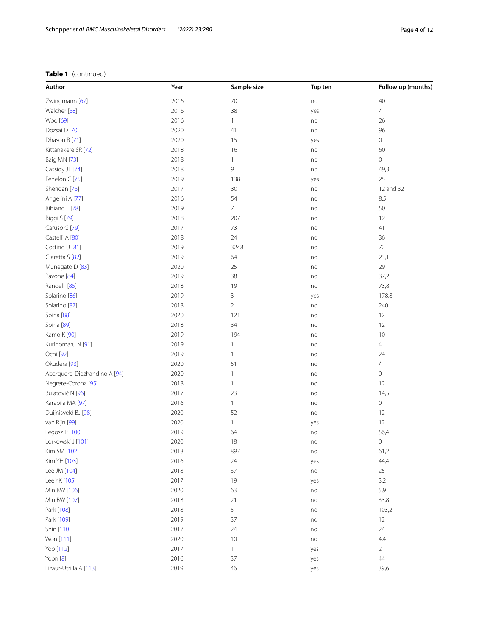# **Table 1** (continued)

| Follow up (months)                                                  |
|---------------------------------------------------------------------|
|                                                                     |
|                                                                     |
|                                                                     |
|                                                                     |
|                                                                     |
|                                                                     |
|                                                                     |
| 49,3                                                                |
|                                                                     |
| 12 and 32                                                           |
|                                                                     |
|                                                                     |
|                                                                     |
|                                                                     |
|                                                                     |
|                                                                     |
|                                                                     |
|                                                                     |
|                                                                     |
| 73,8                                                                |
| 178,8                                                               |
|                                                                     |
|                                                                     |
|                                                                     |
|                                                                     |
|                                                                     |
|                                                                     |
|                                                                     |
|                                                                     |
|                                                                     |
|                                                                     |
|                                                                     |
|                                                                     |
|                                                                     |
|                                                                     |
|                                                                     |
|                                                                     |
|                                                                     |
|                                                                     |
|                                                                     |
|                                                                     |
|                                                                     |
| 103,2                                                               |
|                                                                     |
|                                                                     |
|                                                                     |
|                                                                     |
|                                                                     |
|                                                                     |
| 23,1<br>37,2<br>240<br>14,5<br>56,4<br>61,2<br>44,4<br>33,8<br>39,6 |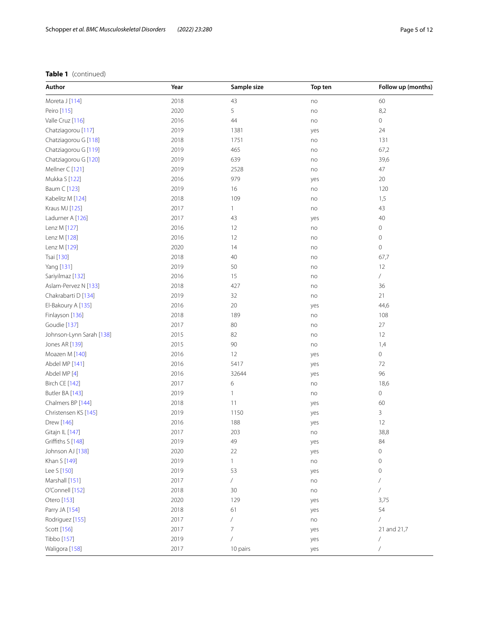# **Table 1** (continued)

| Author                   | Year | Sample size | Top ten | Follow up (months)       |
|--------------------------|------|-------------|---------|--------------------------|
| Moreta J [114]           | 2018 | 43          | no      | 60                       |
| Peiro [115]              | 2020 | 5           | no      | 8,2                      |
| Valle Cruz [116]         | 2016 | 44          | no      | 0                        |
| Chatziagorou [117]       | 2019 | 1381        | yes     | 24                       |
| Chatziagorou G [118]     | 2018 | 1751        | no      | 131                      |
| Chatziagorou G [119]     | 2019 | 465         | no      | 67,2                     |
| Chatziagorou G [120]     | 2019 | 639         | no      | 39,6                     |
| Mellner C [121]          | 2019 | 2528        | no      | 47                       |
| Mukka S [122]            | 2016 | 979         | yes     | 20                       |
| Baum C [123]             | 2019 | 16          | no      | 120                      |
| Kabelitz M [124]         | 2018 | 109         | no      | 1,5                      |
| Kraus MJ [125]           | 2017 | 1           | no      | 43                       |
| Ladurner A [126]         | 2017 | 43          | yes     | 40                       |
| Lenz M [127]             | 2016 | 12          | no      | 0                        |
| Lenz M [128]             | 2016 | 12          | no      | $\mathbf 0$              |
| Lenz M [129]             | 2020 | 14          | no      | 0                        |
| Tsai [130]               | 2018 | 40          | no      | 67,7                     |
| Yang [131]               | 2019 | 50          | no      | 12                       |
| Sariyilmaz [132]         | 2016 | 15          | no      | $\sqrt{2}$               |
| Aslam-Pervez N [133]     | 2018 | 427         | no      | 36                       |
| Chakrabarti D [134]      | 2019 | 32          | no      | 21                       |
| El-Bakoury A [135]       | 2016 | 20          | yes     | 44,6                     |
| Finlayson [136]          | 2018 | 189         | no      | 108                      |
| Goudie [137]             | 2017 | 80          | no      | 27                       |
| Johnson-Lynn Sarah [138] | 2015 | 82          | no      | 12                       |
| Jones AR [139]           | 2015 | 90          | no      | 1,4                      |
| Moazen M [140]           | 2016 | 12          | yes     | $\circ$                  |
| Abdel MP [141]           | 2016 | 5417        | yes     | 72                       |
| Abdel MP [4]             | 2016 | 32644       | yes     | 96                       |
| <b>Birch CE [142]</b>    | 2017 | 6           | no      | 18,6                     |
| Butler BA [143]          | 2019 | 1           | no      | 0                        |
| Chalmers BP [144]        | 2018 | 11          | yes     | 60                       |
| Christensen KS [145]     | 2019 | 1150        | yes     | 3                        |
| Drew [146]               | 2016 | 188         | yes     | 12                       |
| Gitajn IL [147]          | 2017 | 203         | no      | 38,8                     |
| Griffiths S [148]        | 2019 | 49          | yes     | 84                       |
| Johnson AJ [138]         | 2020 | 22          | yes     | 0                        |
| Khan S [149]             | 2019 | 1           | no      | $\mathbf 0$              |
| Lee S [150]              | 2019 | 53          | yes     | $\mathbf 0$              |
| Marshall [151]           | 2017 | $\sqrt{2}$  | no      |                          |
| O'Connell [152]          | 2018 | 30          | no      |                          |
| Otero [153]              | 2020 | 129         | yes     | 3,75                     |
| Parry JA [154]           | 2018 | 61          | yes     | 54                       |
| Rodriguez [155]          | 2017 |             | no      |                          |
| Scott [156]              | 2017 | 7           | yes     | 21 and 21,7              |
| Tibbo [157]              | 2019 |             | yes     | $\overline{\phantom{a}}$ |
| Waligora [158]           | 2017 | 10 pairs    | yes     | $\!mathcal{I}$           |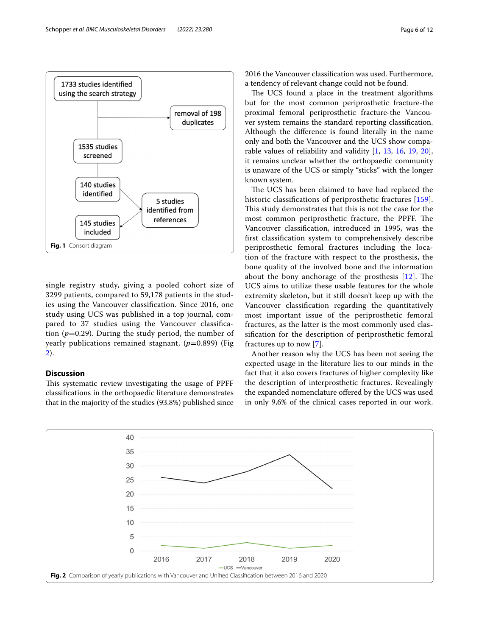

<span id="page-5-0"></span>single registry study, giving a pooled cohort size of 3299 patients, compared to 59,178 patients in the studies using the Vancouver classifcation. Since 2016, one study using UCS was published in a top journal, compared to 37 studies using the Vancouver classifcation  $(p=0.29)$ . During the study period, the number of yearly publications remained stagnant,  $(p=0.899)$  (Fig. [2\)](#page-5-1).

#### **Discussion**

This systematic review investigating the usage of PPFF classifcations in the orthopaedic literature demonstrates that in the majority of the studies (93.8%) published since 2016 the Vancouver classifcation was used. Furthermore, a tendency of relevant change could not be found.

The UCS found a place in the treatment algorithms but for the most common periprosthetic fracture-the proximal femoral periprosthetic fracture-the Vancouver system remains the standard reporting classifcation. Although the diference is found literally in the name only and both the Vancouver and the UCS show comparable values of reliability and validity [\[1,](#page-7-0) [13,](#page-7-9) [16](#page-7-13), [19,](#page-7-16) [20](#page-7-17)], it remains unclear whether the orthopaedic community is unaware of the UCS or simply "sticks" with the longer known system.

The UCS has been claimed to have had replaced the historic classifications of periprosthetic fractures [[159](#page-10-38)]. This study demonstrates that this is not the case for the most common periprosthetic fracture, the PPFF. The Vancouver classifcation, introduced in 1995, was the frst classifcation system to comprehensively describe periprosthetic femoral fractures including the location of the fracture with respect to the prosthesis, the bone quality of the involved bone and the information about the bony anchorage of the prosthesis  $[12]$  $[12]$ . The UCS aims to utilize these usable features for the whole extremity skeleton, but it still doesn't keep up with the Vancouver classifcation regarding the quantitatively most important issue of the periprosthetic femoral fractures, as the latter is the most commonly used classifcation for the description of periprosthetic femoral fractures up to now [[7\]](#page-7-6).

Another reason why the UCS has been not seeing the expected usage in the literature lies to our minds in the fact that it also covers fractures of higher complexity like the description of interprosthetic fractures. Revealingly the expanded nomenclature ofered by the UCS was used in only 9,6% of the clinical cases reported in our work.

<span id="page-5-1"></span>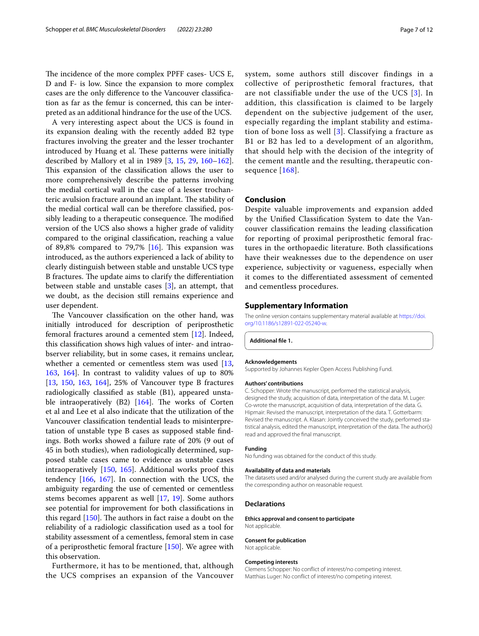The incidence of the more complex PPFF cases- UCS E, D and F- is low. Since the expansion to more complex cases are the only diference to the Vancouver classifcation as far as the femur is concerned, this can be interpreted as an additional hindrance for the use of the UCS.

A very interesting aspect about the UCS is found in its expansion dealing with the recently added B2 type fractures involving the greater and the lesser trochanter introduced by Huang et al. These patterns were initially described by Mallory et al in 1989 [\[3](#page-7-11), [15,](#page-7-12) [29](#page-7-26), [160](#page-10-39)[–162](#page-11-0)]. This expansion of the classification allows the user to more comprehensively describe the patterns involving the medial cortical wall in the case of a lesser trochanteric avulsion fracture around an implant. The stability of the medial cortical wall can be therefore classifed, possibly leading to a therapeutic consequence. The modified version of the UCS also shows a higher grade of validity compared to the original classifcation, reaching a value of 89,8% compared to 79,7%  $[16]$  $[16]$  $[16]$ . This expansion was introduced, as the authors experienced a lack of ability to clearly distinguish between stable and unstable UCS type B fractures. The update aims to clarify the differentiation between stable and unstable cases [\[3](#page-7-11)], an attempt, that we doubt, as the decision still remains experience and user dependent.

The Vancouver classification on the other hand, was initially introduced for description of periprosthetic femoral fractures around a cemented stem [\[12](#page-7-8)]. Indeed, this classifcation shows high values of inter- and intraobserver reliability, but in some cases, it remains unclear, whether a cemented or cementless stem was used [\[13](#page-7-9), [163](#page-11-1), [164](#page-11-2)]. In contrast to validity values of up to 80% [[13,](#page-7-9) [150,](#page-10-29) [163,](#page-11-1) [164\]](#page-11-2), 25% of Vancouver type B fractures radiologically classifed as stable (B1), appeared unstable intraoperatively  $(B2)$  [[164](#page-11-2)]. The works of Corten et al and Lee et al also indicate that the utilization of the Vancouver classifcation tendential leads to misinterpretation of unstable type B cases as supposed stable fndings. Both works showed a failure rate of 20% (9 out of 45 in both studies), when radiologically determined, supposed stable cases came to evidence as unstable cases intraoperatively [\[150](#page-10-29), [165\]](#page-11-3). Additional works proof this tendency [[166,](#page-11-4) [167\]](#page-11-5). In connection with the UCS, the ambiguity regarding the use of cemented or cementless stems becomes apparent as well [\[17](#page-7-14), [19\]](#page-7-16). Some authors see potential for improvement for both classifcations in this regard  $[150]$  $[150]$ . The authors in fact raise a doubt on the reliability of a radiologic classifcation used as a tool for stability assessment of a cementless, femoral stem in case of a periprosthetic femoral fracture [[150\]](#page-10-29). We agree with this observation.

Furthermore, it has to be mentioned, that, although the UCS comprises an expansion of the Vancouver system, some authors still discover findings in a collective of periprosthetic femoral fractures, that are not classifiable under the use of the UCS [[3\]](#page-7-11). In addition, this classification is claimed to be largely

dependent on the subjective judgement of the user, especially regarding the implant stability and estimation of bone loss as well [\[3\]](#page-7-11). Classifying a fracture as B1 or B2 has led to a development of an algorithm, that should help with the decision of the integrity of the cement mantle and the resulting, therapeutic con-sequence [[168](#page-11-6)].

#### **Conclusion**

Despite valuable improvements and expansion added by the Unifed Classifcation System to date the Vancouver classifcation remains the leading classifcation for reporting of proximal periprosthetic femoral fractures in the orthopaedic literature. Both classifcations have their weaknesses due to the dependence on user experience, subjectivity or vagueness, especially when it comes to the diferentiated assessment of cemented and cementless procedures.

#### **Supplementary Information**

The online version contains supplementary material available at [https://doi.](https://doi.org/10.1186/s12891-022-05240-w) [org/10.1186/s12891-022-05240-w.](https://doi.org/10.1186/s12891-022-05240-w)

<span id="page-6-0"></span>**Additional fle 1.**

#### **Acknowledgements**

Supported by Johannes Kepler Open Access Publishing Fund.

#### **Authors' contributions**

C. Schopper: Wrote the manuscript, performed the statistical analysis, designed the study, acquisition of data, interpretation of the data. M. Luger: Co-wrote the manuscript, acquisition of data, interpretation of the data. G. Hipmair: Revised the manuscript, interpretation of the data. T. Gotterbarm: Revised the manuscript. A. Klasan: Jointly conceived the study, performed statistical analysis, edited the manuscript, interpretation of the data. The author(s) read and approved the fnal manuscript.

#### **Funding**

No funding was obtained for the conduct of this study.

#### **Availability of data and materials**

The datasets used and/or analysed during the current study are available from the corresponding author on reasonable request.

#### **Declarations**

**Ethics approval and consent to participate** Not applicable.

#### **Consent for publication**

Not applicable.

#### **Competing interests**

Clemens Schopper: No confict of interest/no competing interest. Matthias Luger: No confict of interest/no competing interest.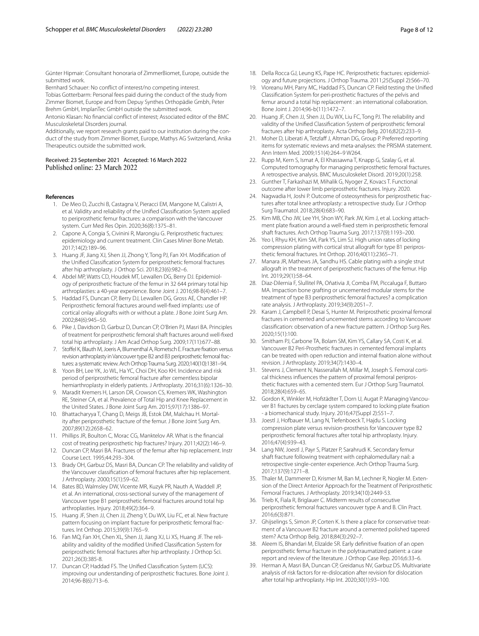Günter Hipmair: Consultant honoraria of ZimmerBiomet, Europe, outside the submitted work.

Bernhard Schauer: No confict of interest/no competing interest.

Tobias Gotterbarm: Personal fees paid during the conduct of the study from Zimmer Biomet, Europe and from Depuy Synthes Orthopädie Gmbh, Peter Brehm GmbH, ImplanTec GmbH outside the submitted work.

Antonio Klasan: No fnancial confict of interest; Associated editor of the BMC Musculoskeletal Disorders journal.

Additionally, we report research grants paid to our institution during the conduct of the study from Zimmer Biomet, Europe, Mathys AG Switzerland, Anika Therapeutics outside the submitted work.

# Received: 23 September 2021 Accepted: 16 March 2022

#### <span id="page-7-0"></span>**References**

- 1. De Meo D, Zucchi B, Castagna V, Pieracci EM, Mangone M, Calistri A, et al. Validity and reliability of the Unifed Classifcation System applied to periprosthetic femur fractures: a comparison with the Vancouver system. Curr Med Res Opin. 2020;36(8):1375–81.
- 2. Capone A, Congia S, Civinini R, Marongiu G. Periprosthetic fractures: epidemiology and current treatment. Clin Cases Miner Bone Metab. 2017;14(2):189–96.
- <span id="page-7-11"></span>3. Huang JF, Jiang XJ, Shen JJ, Zhong Y, Tong PJ, Fan XH. Modifcation of the Unifed Classifcation System for periprosthetic femoral fractures after hip arthroplasty. J Orthop Sci. 2018;23(6):982–6.
- <span id="page-7-1"></span>4. Abdel MP, Watts CD, Houdek MT, Lewallen DG, Berry DJ. Epidemiology of periprosthetic fracture of the femur in 32 644 primary total hip arthroplasties: a 40-year experience. Bone Joint J. 2016;98-B(4):461–7.
- <span id="page-7-2"></span>5. Haddad FS, Duncan CP, Berry DJ, Lewallen DG, Gross AE, Chandler HP. Periprosthetic femoral fractures around well-fxed implants: use of cortical onlay allografts with or without a plate. J Bone Joint Surg Am. 2002;84(6):945–50.
- 6. Pike J, Davidson D, Garbuz D, Duncan CP, O'Brien PJ, Masri BA. Principles of treatment for periprosthetic femoral shaft fractures around well-fxed total hip arthroplasty. J Am Acad Orthop Surg. 2009;17(11):677–88.
- <span id="page-7-6"></span>7. Stofel K, Blauth M, Joeris A, Blumenthal A, Rometsch E. Fracture fxation versus revision arthroplasty in Vancouver type B2 and B3 periprosthetic femoral fractures: a systematic review. Arch Orthop Trauma Surg. 2020;140(10):1381–94.
- <span id="page-7-3"></span>8. Yoon BH, Lee YK, Jo WL, Ha YC, Choi DH, Koo KH. Incidence and risk period of periprosthetic femoral fracture after cementless bipolar hemiarthroplasty in elderly patients. J Arthroplasty. 2016;31(6):1326–30.
- <span id="page-7-4"></span>9. Maradit Kremers H, Larson DR, Crowson CS, Kremers WK, Washington RE, Steiner CA, et al. Prevalence of Total Hip and Knee Replacement in the United States. J Bone Joint Surg Am. 2015;97(17):1386–97.
- <span id="page-7-5"></span>10. Bhattacharyya T, Chang D, Meigs JB, Estok DM, Malchau H. Mortality after periprosthetic fracture of the femur. J Bone Joint Surg Am. 2007;89(12):2658–62.
- <span id="page-7-7"></span>11. Phillips JR, Boulton C, Morac CG, Manktelov AR. What is the fnancial cost of treating periprosthetic hip fractures? Injury. 2011;42(2):146–9.
- <span id="page-7-8"></span>12. Duncan CP, Masri BA. Fractures of the femur after hip replacement. Instr Course Lect. 1995;44:293–304.
- <span id="page-7-9"></span>13. Brady OH, Garbuz DS, Masri BA, Duncan CP. The reliability and validity of the Vancouver classifcation of femoral fractures after hip replacement. J Arthroplasty. 2000;15(1):59–62.
- <span id="page-7-10"></span>14. Bates BD, Walmsley DW, Vicente MR, Kuzyk PR, Nauth A, Waddell JP, et al. An international, cross-sectional survey of the management of Vancouver type B1 periprosthetic femoral fractures around total hip arthroplasties. Injury. 2018;49(2):364–9.
- <span id="page-7-12"></span>15. Huang JF, Shen JJ, Chen JJ, Zheng Y, Du WX, Liu FC, et al. New fracture pattern focusing on implant fracture for periprosthetic femoral fractures. Int Orthop. 2015;39(9):1765–9.
- <span id="page-7-13"></span>16. Fan MQ, Fan XH, Chen XL, Shen JJ, Jiang XJ, Li XS, Huang JF. The reliability and validity of the modifed Unifed Classifcation System for periprosthetic femoral fractures after hip arthroplasty. J Orthop Sci. 2021;26(3):385-8.
- <span id="page-7-14"></span>17. Duncan CP, Haddad FS. The Unifed Classifcation System (UCS): improving our understanding of periprosthetic fractures. Bone Joint J. 2014;96-B(6):713–6.
- <span id="page-7-15"></span>18. Della Rocca GJ, Leung KS, Pape HC. Periprosthetic fractures: epidemiology and future projections. J Orthop Trauma. 2011;25(Suppl 2):S66–70.
- <span id="page-7-16"></span>19. Vioreanu MH, Parry MC, Haddad FS, Duncan CP. Field testing the Unifed Classifcation System for peri-prosthetic fractures of the pelvis and femur around a total hip replacement : an international collaboration. Bone Joint J. 2014;96-b(11):1472–7.
- <span id="page-7-17"></span>20. Huang JF, Chen JJ, Shen JJ, Du WX, Liu FC, Tong PJ. The reliability and validity of the Unifed Classifcation System of periprosthetic femoral fractures after hip arthroplasty. Acta Orthop Belg. 2016;82(2):233–9.
- <span id="page-7-18"></span>21. Moher D, Liberati A, Tetzlaff J, Altman DG, Group P. Preferred reporting items for systematic reviews and meta-analyses: the PRISMA statement. Ann Intern Med. 2009;151(4):264–9 W264.
- <span id="page-7-19"></span>22. Rupp M, Kern S, Ismat A, El Khassawna T, Knapp G, Szalay G, et al. Computed tomography for managing periprosthetic femoral fractures. A retrospective analysis. BMC Musculoskelet Disord. 2019;20(1):258.
- <span id="page-7-20"></span>23. Gunther T, Farkashazi M, Mihalik G, Nyoger Z, Kovacs T. Functional outcome after lower limb periprosthetic fractures. Injury. 2020.
- <span id="page-7-21"></span>24. Nagwadia H, Joshi P. Outcome of osteosynthesis for periprosthetic fractures after total knee arthroplasty: a retrospective study. Eur J Orthop Surg Traumatol. 2018;28(4):683–90.
- <span id="page-7-22"></span>25. Kim MB, Cho JW, Lee YH, Shon WY, Park JW, Kim J, et al. Locking attachment plate fxation around a well-fxed stem in periprosthetic femoral shaft fractures. Arch Orthop Trauma Surg. 2017;137(9):1193–200.
- <span id="page-7-23"></span>26. Yeo I, Rhyu KH, Kim SM, Park YS, Lim SJ. High union rates of locking compression plating with cortical strut allograft for type B1 periprosthetic femoral fractures. Int Orthop. 2016;40(11):2365–71.
- <span id="page-7-24"></span>27. Manara JR, Mathews JA, Sandhu HS. Cable plating with a single strut allograft in the treatment of periprosthetic fractures of the femur. Hip Int. 2019;29(1):58–64.
- <span id="page-7-25"></span>28. Diaz-Dilernia F, Slullitel PA, Oñativia JI, Comba FM, Piccaluga F, Buttaro MA. Impaction bone grafting or uncemented modular stems for the treatment of type B3 periprosthetic femoral fractures? a complication rate analysis. J Arthroplasty. 2019;34(9):2051–7.
- <span id="page-7-26"></span>29. Karam J, Campbell P, Desai S, Hunter M. Periprosthetic proximal femoral fractures in cemented and uncemented stems according to Vancouver classifcation: observation of a new fracture pattern. J Orthop Surg Res. 2020;15(1):100.
- <span id="page-7-27"></span>30. Smitham PJ, Carbone TA, Bolam SM, Kim YS, Callary SA, Costi K, et al. Vancouver B2 Peri-Prosthetic fractures in cemented femoral implants can be treated with open reduction and internal fxation alone without revision. J Arthroplasty. 2019;34(7):1430–4.
- <span id="page-7-28"></span>31. Stevens J, Clement N, Nasserallah M, Millar M, Joseph S. Femoral cortical thickness infuences the pattern of proximal femoral periprosthetic fractures with a cemented stem. Eur J Orthop Surg Traumatol. 2018;28(4):659–65.
- <span id="page-7-29"></span>32. Gordon K, Winkler M, Hofstädter T, Dorn U, Augat P. Managing Vancouver B1 fractures by cerclage system compared to locking plate fxation - a biomechanical study. Injury. 2016;47(Suppl 2):S51–7.
- <span id="page-7-30"></span>33. Joestl J, Hofbauer M, Lang N, Tiefenboeck T, Hajdu S. Locking compression plate versus revision-prosthesis for Vancouver type B2 periprosthetic femoral fractures after total hip arthroplasty. Injury. 2016;47(4):939–43.
- <span id="page-7-31"></span>34. Lang NW, Joestl J, Payr S, Platzer P, Sarahrudi K. Secondary femur shaft fracture following treatment with cephalomedullary nail: a retrospective single-center experience. Arch Orthop Trauma Surg. 2017;137(9):1271–8.
- <span id="page-7-32"></span>35. Thaler M, Dammerer D, Krismer M, Ban M, Lechner R, Nogler M. Extension of the Direct Anterior Approach for the Treatment of Periprosthetic Femoral Fractures. J Arthroplasty. 2019;34(10):2449-53.
- <span id="page-7-33"></span>36. Trieb K, Fiala R, Briglauer C. Midterm results of consecutive periprosthetic femoral fractures vancouver type A and B. Clin Pract. 2016;6(3):871.
- <span id="page-7-34"></span>37. Ghijselings S, Simon JP, Corten K. Is there a place for conservative treatment of a Vancouver B2 fracture around a cemented polished tapered stem? Acta Orthop Belg. 2018;84(3):292–7.
- <span id="page-7-35"></span>38. Aleem IS, Bhandari M, Elizalde SR. Early defnitive fxation of an open periprosthetic femur fracture in the polytraumatized patient: a case report and review of the literature. J Orthop Case Rep. 2016;6:33–6.
- <span id="page-7-36"></span>39. Herman A, Masri BA, Duncan CP, Greidanus NV, Garbuz DS. Multivariate analysis of risk factors for re-dislocation after revision for dislocation after total hip arthroplasty. Hip Int. 2020;30(1):93–100.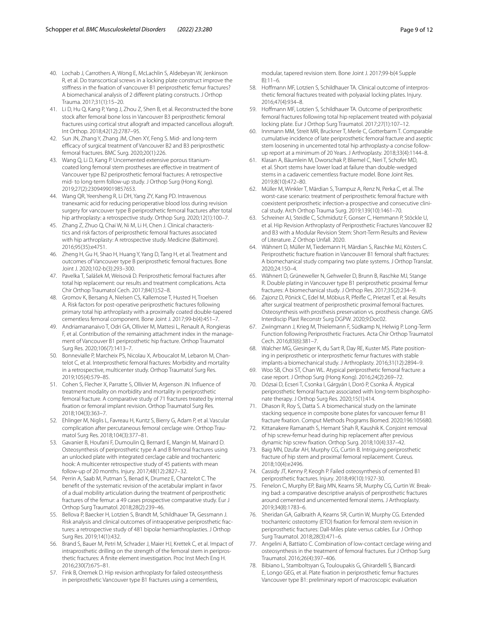- <span id="page-8-0"></span>40. Lochab J, Carrothers A, Wong E, McLachlin S, Aldebeyan W, Jenkinson R, et al. Do transcortical screws in a locking plate construct improve the stifness in the fxation of vancouver B1 periprosthetic femur fractures? A biomechanical analysis of 2 diferent plating constructs. J Orthop Trauma. 2017;31(1):15–20.
- <span id="page-8-1"></span>41. Li D, Hu Q, Kang P, Yang J, Zhou Z, Shen B, et al. Reconstructed the bone stock after femoral bone loss in Vancouver B3 periprosthetic femoral fractures using cortical strut allograft and impacted cancellous allograft. Int Orthop. 2018;42(12):2787–95.
- <span id="page-8-2"></span>42. Sun JN, Zhang Y, Zhang JM, Chen XY, Feng S. Mid- and long-term efficacy of surgical treatment of Vancouver B2 and B3 periprosthetic femoral fractures. BMC Surg. 2020;20(1):226.
- <span id="page-8-3"></span>43. Wang Q, Li D, Kang P. Uncemented extensive porous titaniumcoated long femoral stem prostheses are efective in treatment of Vancouver type B2 periprosthetic femoral fractures: A retrospective mid- to long-term follow-up study. J Orthop Surg (Hong Kong). 2019;27(2):2309499019857653.
- <span id="page-8-4"></span>44. Wang QR, Yeersheng R, Li DH, Yang ZY, Kang PD. Intravenous tranexamic acid for reducing perioperative blood loss during revision surgery for vancouver type B periprosthetic femoral fractures after total hip arthroplasty: a retrospective study. Orthop Surg. 2020;12(1):100-7.
- <span id="page-8-5"></span>45. Zhang Z, Zhuo Q, Chai W, Ni M, Li H, Chen J. Clinical characteristics and risk factors of periprosthetic femoral fractures associated with hip arthroplasty: A retrospective study. Medicine (Baltimore). 2016;95(35):e4751.
- <span id="page-8-6"></span>46. Zheng H, Gu H, Shao H, Huang Y, Yang D, Tang H, et al. Treatment and outcomes of Vancouver type B periprosthetic femoral fractures. Bone Joint J. 2020;102-b(3):293–300.
- <span id="page-8-7"></span>47. Pavelka T, Salášek M, Weisová D. Periprosthetic femoral fractures after total hip replacement: our results and treatment complications. Acta Chir Orthop Traumatol Cech. 2017;84(1):52–8.
- <span id="page-8-8"></span>48. Gromov K, Bersang A, Nielsen CS, Kallemose T, Husted H, Troelsen A. Risk factors for post-operative periprosthetic fractures following primary total hip arthroplasty with a proximally coated double-tapered cementless femoral component. Bone Joint J. 2017;99-b(4):451–7.
- <span id="page-8-9"></span>49. Andriamananaivo T, Odri GA, Ollivier M, Mattesi L, Renault A, Rongieras F, et al. Contribution of the remaining attachment index in the management of Vancouver B1 periprosthetic hip fracture. Orthop Traumatol Surg Res. 2020;106(7):1413–7.
- <span id="page-8-10"></span>50. Bonnevialle P, Marcheix PS, Nicolau X, Arboucalot M, Lebaron M, Chantelot C, et al. Interprosthetic femoral fractures: Morbidity and mortality in a retrospective, multicenter study. Orthop Traumatol Surg Res. 2019;105(4):579–85.
- <span id="page-8-11"></span>51. Cohen S, Flecher X, Parratte S, Ollivier M, Argenson JN. Infuence of treatment modality on morbidity and mortality in periprosthetic femoral fracture. A comparative study of 71 fractures treated by internal fxation or femoral implant revision. Orthop Traumatol Surg Res. 2018;104(3):363–7.
- <span id="page-8-12"></span>52. Ehlinger M, Niglis L, Favreau H, Kuntz S, Bierry G, Adam P, et al. Vascular complication after percutaneous femoral cerclage wire. Orthop Traumatol Surg Res. 2018;104(3):377–81.
- <span id="page-8-13"></span>53. Gavanier B, Houfani F, Dumoulin Q, Bernard E, Mangin M, Mainard D. Osteosynthesis of periprosthetic type A and B femoral fractures using an unlocked plate with integrated cerclage cable and trochanteric hook: A multicenter retrospective study of 45 patients with mean follow-up of 20 months. Injury. 2017;48(12):2827–32.
- <span id="page-8-14"></span>54. Perrin A, Saab M, Putman S, Benad K, Drumez E, Chantelot C. The beneft of the systematic revision of the acetabular implant in favor of a dual mobility articulation during the treatment of periprosthetic fractures of the femur: a 49 cases prospective comparative study. Eur J Orthop Surg Traumatol. 2018;28(2):239–46.
- <span id="page-8-15"></span>55. Bellova P, Baecker H, Lotzien S, Brandt M, Schildhauer TA, Gessmann J. Risk analysis and clinical outcomes of intraoperative periprosthetic fractures: a retrospective study of 481 bipolar hemiarthroplasties. J Orthop Surg Res. 2019;14(1):432.
- <span id="page-8-16"></span>56. Brand S, Bauer M, Petri M, Schrader J, Maier HJ, Krettek C, et al. Impact of intraprosthetic drilling on the strength of the femoral stem in periprosthetic fractures: A fnite element investigation. Proc Inst Mech Eng H. 2016;230(7):675–81.
- <span id="page-8-17"></span>57. Fink B, Oremek D. Hip revision arthroplasty for failed osteosynthesis in periprosthetic Vancouver type B1 fractures using a cementless,

modular, tapered revision stem. Bone Joint J. 2017;99-b(4 Supple B):11–6.

- <span id="page-8-18"></span>58. Hofmann MF, Lotzien S, Schildhauer TA. Clinical outcome of interprosthetic femoral fractures treated with polyaxial locking plates. Injury. 2016;47(4):934–8.
- <span id="page-8-19"></span>59. Hofmann MF, Lotzien S, Schildhauer TA. Outcome of periprosthetic femoral fractures following total hip replacement treated with polyaxial locking plate. Eur J Orthop Surg Traumatol. 2017;27(1):107–12.
- <span id="page-8-20"></span>60. Innmann MM, Streit MR, Bruckner T, Merle C, Gotterbarm T. Comparable cumulative incidence of late periprosthetic femoral fracture and aseptic stem loosening in uncemented total hip arthroplasty-a concise followup report at a minimum of 20 Years. J Arthroplasty. 2018;33(4):1144–8.
- <span id="page-8-21"></span>61. Klasan A, Bäumlein M, Dworschak P, Bliemel C, Neri T, Schofer MD, et al. Short stems have lower load at failure than double-wedged stems in a cadaveric cementless fracture model. Bone Joint Res. 2019;8(10):472–80.
- <span id="page-8-22"></span>62. Müller M, Winkler T, Märdian S, Trampuz A, Renz N, Perka C, et al. The worst-case scenario: treatment of periprosthetic femoral fracture with coexistent periprosthetic infection-a prospective and consecutive clinical study. Arch Orthop Trauma Surg. 2019;139(10):1461–70.
- <span id="page-8-23"></span>63. Schreiner AJ, Steidle C, Schmidutz F, Gonser C, Hemmann P, Stöckle U, et al. Hip Revision Arthroplasty of Periprosthetic Fractures Vancouver B2 and B3 with a Modular Revision Stem: Short-Term Results and Review of Literature. Z Orthop Unfall. 2020.
- <span id="page-8-24"></span>64. Wähnert D, Müller M, Tiedemann H, Märdian S, Raschke MJ, Kösters C. Periprosthetic fracture fxation in Vancouver B1 femoral shaft fractures: A biomechanical study comparing two plate systems. J Orthop Translat. 2020;24:150–4.
- <span id="page-8-25"></span>65. Wähnert D, Grüneweller N, Gehweiler D, Brunn B, Raschke MJ, Stange R. Double plating in Vancouver type B1 periprosthetic proximal femur fractures: A biomechanical study. J Orthop Res. 2017;35(2):234–9.
- <span id="page-8-26"></span>66. Zajonz D, Pönick C, Edel M, Möbius R, Pfeife C, Prietzel T, et al. Results after surgical treatment of periprosthetic proximal femoral fractures. Osteosynthesis with prosthesis preservation vs. prosthesis change. GMS Interdiscip Plast Reconstr Surg DGPW. 2020;9:Doc02.
- <span id="page-8-27"></span>67. Zwingmann J, Krieg M, Thielemann F, Südkamp N, Helwig P. Long-Term Function following Periprosthetic Fractures. Acta Chir Orthop Traumatol Cech. 2016;83(6):381–7.
- <span id="page-8-28"></span>68. Walcher MG, Giesinger K, du Sart R, Day RE, Kuster MS. Plate positioning in periprosthetic or interprosthetic femur fractures with stable implants-a biomechanical study. J Arthroplasty. 2016;31(12):2894–9.
- <span id="page-8-29"></span>69. Woo SB, Choi ST, Chan WL. Atypical periprosthetic femoral fracture: a case report. J Orthop Surg (Hong Kong). 2016;24(2):269–72.
- <span id="page-8-30"></span>70. Dózsai D, Ecseri T, Csonka I, Gárgyán I, Doró P, Csonka Á. Atypical periprosthetic femoral fracture associated with long-term bisphosphonate therapy. J Orthop Surg Res. 2020;15(1):414.
- <span id="page-8-31"></span>71. Dhason R, Roy S, Datta S. A biomechanical study on the laminate stacking sequence in composite bone plates for vancouver femur B1 fracture fxation. Comput Methods Programs Biomed. 2020;196:105680.
- <span id="page-8-32"></span>72. Kittanakere Ramanath S, Hemant Shah R, Kaushik K. Conjoint removal of hip screw-femur head during hip replacement after previous dynamic hip screw fxation. Orthop Surg. 2018;10(4):337–42.
- <span id="page-8-33"></span>73. Baig MN, Dzufar AH, Murphy CG, Curtin B. Intriguing periprosthetic fracture of hip stem and proximal femoral replacement. Cureus. 2018;10(4):e2496.
- <span id="page-8-34"></span>74. Cassidy JT, Kenny P, Keogh P. Failed osteosynthesis of cemented B1 periprosthetic fractures. Injury. 2018;49(10):1927-30.
- <span id="page-8-35"></span>75. Fenelon C, Murphy EP, Baig MN, Kearns SR, Murphy CG, Curtin W. Breaking bad: a comparative descriptive analysis of periprosthetic fractures around cemented and uncemented femoral stems. J Arthroplasty. 2019;34(8):1783–6.
- <span id="page-8-36"></span>76. Sheridan GA, Galbraith A, Kearns SR, Curtin W, Murphy CG. Extended trochanteric osteotomy (ETO) fxation for femoral stem revision in periprosthetic fractures: Dall-Miles plate versus cables. Eur J Orthop Surg Traumatol. 2018;28(3):471–6.
- <span id="page-8-37"></span>77. Angelini A, Battiato C. Combination of low-contact cerclage wiring and osteosynthesis in the treatment of femoral fractures. Eur J Orthop Surg Traumatol. 2016;26(4):397–406.
- <span id="page-8-38"></span>78. Bibiano L, Stamboltsyan G, Touloupakis G, Ghirardelli S, Biancardi E, Longo GEG, et al. Plate fxation in periprosthetic femur fractures Vancouver type B1: preliminary report of macroscopic evaluation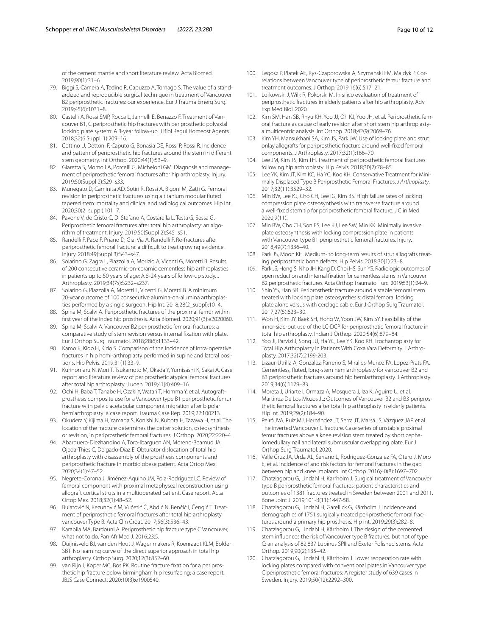of the cement mantle and short literature review. Acta Biomed. 2019;90(1):31–6.

- <span id="page-9-0"></span>79. Biggi S, Camera A, Tedino R, Capuzzo A, Tornago S. The value of a standardized and reproducible surgical technique in treatment of Vancouver B2 periprosthetic fractures: our experience. Eur J Trauma Emerg Surg. 2019;45(6):1031–8.
- <span id="page-9-1"></span>80. Castelli A, Rossi SMP, Rocca L, Jannelli E, Benazzo F. Treatment of Vancouver B1, C periprosthetic hip fractures with periprosthetic polyaxial locking plate system: A 3-year follow-up. J Biol Regul Homeost Agents. 2018;32(6 Suppl. 1):209–16.
- <span id="page-9-2"></span>81. Cottino U, Dettoni F, Caputo G, Bonasia DE, Rossi P, Rossi R. Incidence and pattern of periprosthetic hip fractures around the stem in diferent stem geometry. Int Orthop. 2020;44(1):53–9.
- <span id="page-9-3"></span>82. Giaretta S, Momoli A, Porcelli G, Micheloni GM. Diagnosis and management of periprosthetic femoral fractures after hip arthroplasty. Injury. 2019;50(Suppl 2):S29–s33.
- <span id="page-9-4"></span>83. Munegato D, Caminita AD, Sotiri R, Rossi A, Bigoni M, Zatti G. Femoral revision in periprosthetic fractures using a titanium modular futed tapered stem: mortality and clinical and radiological outcomes. Hip Int. 2020;30(2\_suppl):101–7.
- <span id="page-9-5"></span>84. Pavone V, de Cristo C, Di Stefano A, Costarella L, Testa G, Sessa G. Periprosthetic femoral fractures after total hip arthroplasty: an algorithm of treatment. Injury. 2019;50(Suppl 2):S45–s51.
- <span id="page-9-6"></span>85. Randelli F, Pace F, Priano D, Giai Via A, Randelli P. Re-fractures after periprosthetic femoral fracture: a difficult to treat growing evidence. Injury. 2018;49(Suppl 3):S43–s47.
- <span id="page-9-7"></span>86. Solarino G, Zagra L, Piazzolla A, Morizio A, Vicenti G, Moretti B. Results of 200 consecutive ceramic-on-ceramic cementless hip arthroplasties in patients up to 50 years of age: A 5-24 years of follow-up study. J Arthroplasty. 2019;34(7s):S232–s237.
- <span id="page-9-8"></span>87. Solarino G, Piazzolla A, Moretti L, Vicenti G, Moretti B. A minimum 20-year outcome of 100 consecutive alumina-on-alumina arthroplasties performed by a single surgeon. Hip Int. 2018;28(2\_suppl):10–4.
- <span id="page-9-9"></span>88. Spina M, Scalvi A. Periprosthetic fractures of the proximal femur within frst year of the index hip prosthesis. Acta Biomed. 2020;91(3):e2020060.
- <span id="page-9-10"></span>Spina M, Scalvi A. Vancouver B2 periprosthetic femoral fractures: a comparative study of stem revision versus internal fxation with plate. Eur J Orthop Surg Traumatol. 2018;28(6):1133–42.
- <span id="page-9-11"></span>90. Kamo K, Kido H, Kido S. Comparison of the Incidence of Intra-operative fractures in hip hemi-arthroplasty performed in supine and lateral positions. Hip Pelvis. 2019;31(1):33–9.
- <span id="page-9-12"></span>91. Kurinomaru N, Mori T, Tsukamoto M, Okada Y, Yumisashi K, Sakai A. Case report and literature review of periprosthetic atypical femoral fractures after total hip arthroplasty. J uoeh. 2019;41(4):409–16.
- <span id="page-9-13"></span>92. Ochi H, Baba T, Tanabe H, Ozaki Y, Watari T, Homma Y, et al. Autograftprosthesis composite use for a Vancouver type B1 periprosthetic femur fracture with pelvic acetabular component migration after bipolar hemiarthroplasty: a case report. Trauma Case Rep. 2019;22:100213.
- <span id="page-9-14"></span>93. Okudera Y, Kijima H, Yamada S, Konishi N, Kubota H, Tazawa H, et al. The location of the fracture determines the better solution, osteosynthesis or revision, in periprosthetic femoral fractures. J Orthop. 2020;22:220–4.
- <span id="page-9-15"></span>94. Abarquero-Diezhandino A, Toro-Ibarguen AN, Moreno-Beamud JA, Ojeda-Thies C, Delgado-Diaz E. Obturator dislocation of total hip arthroplasty with disassembly of the prosthesis components and periprosthetic fracture in morbid obese patient. Acta Ortop Mex. 2020;34(1):47–52.
- <span id="page-9-16"></span>95. Negrete-Corona J, Jiménez-Aquino JM, Pola-Rodríguez LC. Review of femoral component with proximal metaphyseal reconstruction using allograft cortical struts in a multioperated patient. Case report. Acta Ortop Mex. 2018;32(1):48–52.
- <span id="page-9-17"></span>96. Bulatović N, Kezunović M, Vučetić Č, Abdić N, Benčić I, Čengić T. Treatment of periprosthetic femoral fractures after total hip arthroplasty vancouver Type B. Acta Clin Croat. 2017;56(3):536–43.
- <span id="page-9-18"></span>97. Karabila MA, Bardouni A. Periprosthetic hip fracture type C Vancouver, what not to do. Pan Afr Med J. 2016;23:5.
- <span id="page-9-19"></span>98. Duijnisveld BJ, van den Hout J, Wagenmakers R, Koenraadt KLM, Bolder SBT. No learning curve of the direct superior approach in total hip arthroplasty. Orthop Surg. 2020;12(3):852–60.
- <span id="page-9-20"></span>99. van Rijn J, Koper MC, Bos PK. Routine fracture fxation for a periprosthetic hip fracture below birmingham hip resurfacing: a case report. JBJS Case Connect. 2020;10(3):e1900540.
- <span id="page-9-21"></span>100. Legosz P, Platek AE, Rys-Czaporowska A, Szymanski FM, Maldyk P. Correlations between Vancouver type of periprosthetic femur fracture and treatment outcomes. J Orthop. 2019;16(6):517–21.
- <span id="page-9-22"></span>101. Lorkowski J, Wilk R, Pokorski M. In silico evaluation of treatment of periprosthetic fractures in elderly patients after hip arthroplasty. Adv Exp Med Biol. 2020.
- <span id="page-9-23"></span>102. Kim SM, Han SB, Rhyu KH, Yoo JJ, Oh KJ, Yoo JH, et al. Periprosthetic femoral fracture as cause of early revision after short stem hip arthroplastya multicentric analysis. Int Orthop. 2018;42(9):2069–76.
- <span id="page-9-24"></span>103. Kim YH, Mansukhani SA, Kim JS, Park JW. Use of locking plate and strut onlay allografts for periprosthetic fracture around well-fxed femoral components. J Arthroplasty. 2017;32(1):166–70.
- <span id="page-9-25"></span>104. Lee JM, Kim TS, Kim TH. Treatment of periprosthetic femoral fractures following hip arthroplasty. Hip Pelvis. 2018;30(2):78–85.
- <span id="page-9-26"></span>105. Lee YK, Kim JT, Kim KC, Ha YC, Koo KH. Conservative Treatment for Minimally Displaced Type B Periprosthetic Femoral Fractures. *J Arthroplasty*. 2017;32(11):3529–32.
- <span id="page-9-27"></span>106. Min BW, Lee KJ, Cho CH, Lee IG, Kim BS. High failure rates of locking compression plate osteosynthesis with transverse fracture around a well-fxed stem tip for periprosthetic femoral fracture. J Clin Med. 2020;9(11).
- <span id="page-9-28"></span>107. Min BW, Cho CH, Son ES, Lee KJ, Lee SW, Min KK. Minimally invasive plate osteosynthesis with locking compression plate in patients with Vancouver type B1 periprosthetic femoral fractures. Injury. 2018;49(7):1336–40.
- <span id="page-9-29"></span>108. Park JS, Moon KH. Medium- to long-term results of strut allografts treating periprosthetic bone defects. Hip Pelvis. 2018;30(1):23–8.
- <span id="page-9-30"></span>109. Park JS, Hong S, Nho JH, Kang D, Choi HS, Suh YS. Radiologic outcomes of open reduction and internal fxation for cementless stems in Vancouver B2 periprosthetic fractures. Acta Orthop Traumatol Turc. 2019;53(1):24–9.
- <span id="page-9-31"></span>110. Shin YS, Han SB. Periprosthetic fracture around a stable femoral stem treated with locking plate osteosynthesis: distal femoral locking plate alone versus with cerclage cable. Eur J Orthop Surg Traumatol. 2017;27(5):623–30.
- <span id="page-9-32"></span>111. Won H, Kim JY, Baek SH, Hong W, Yoon JW, Kim SY. Feasibility of the inner-side-out use of the LC-DCP for periprosthetic femoral fracture in total hip arthroplasty. Indian J Orthop. 2020;54(6):879–84.
- <span id="page-9-33"></span>112. Yoo JI, Parvizi J, Song JU, Ha YC, Lee YK, Koo KH. Trochantoplasty for Total Hip Arthroplasty in Patients With Coxa Vara Deformity. J Arthroplasty. 2017;32(7):2199-203.
- <span id="page-9-34"></span>113. Lizaur-Utrilla A, Gonzalez-Parreño S, Miralles-Muñoz FA, Lopez-Prats FA. Cementless, futed, long-stem hemiarthroplasty for vancouver B2 and B3 periprosthetic fractures around hip hemiarthroplasty. J Arthroplasty. 2019;34(6):1179–83.
- <span id="page-9-35"></span>114. Moreta J, Uriarte I, Ormaza A, Mosquera J, Iza K, Aguirre U, et al. Martínez-De Los Mozos JL: Outcomes of Vancouver B2 and B3 periprosthetic femoral fractures after total hip arthroplasty in elderly patients. Hip Int. 2019;29(2):184–90.
- <span id="page-9-36"></span>115. Peiró JVA, Ruiz MJ, Hernández JT, Serra JT, Marsá JS, Vázquez JAP, et al. The inverted Vancouver C fracture. Case series of unstable proximal femur fractures above a knee revision stem treated by short cephalomedullary nail and lateral submuscular overlapping plate. Eur J Orthop Surg Traumatol. 2020.
- <span id="page-9-37"></span>116. Valle Cruz JA, Urda AL, Serrano L, Rodriguez-Gonzalez FA, Otero J, Moro E, et al. Incidence of and risk factors for femoral fractures in the gap between hip and knee implants. Int Orthop. 2016;40(8):1697–702.
- <span id="page-9-38"></span>117. Chatziagorou G, Lindahl H, Karrholm J. Surgical treatment of Vancouver type B periprosthetic femoral fractures: patient characteristics and outcomes of 1381 fractures treated in Sweden between 2001 and 2011. Bone Joint J. 2019;101-B(11):1447-58.
- <span id="page-9-39"></span>118. Chatziagorou G, Lindahl H, Garellick G, Kärrholm J. Incidence and demographics of 1751 surgically treated periprosthetic femoral fractures around a primary hip prosthesis. Hip Int. 2019;29(3):282–8.
- <span id="page-9-40"></span>119. Chatziagorou G, Lindahl H, Kärrholm J. The design of the cemented stem infuences the risk of Vancouver type B fractures, but not of type C: an analysis of 82,837 Lubinus SPII and Exeter Polished stems. Acta Orthop. 2019;90(2):135–42.
- <span id="page-9-41"></span>120. Chatziagorou G, Lindahl H, Kärrholm J. Lower reoperation rate with locking plates compared with conventional plates in Vancouver type C periprosthetic femoral fractures: A register study of 639 cases in Sweden. Injury. 2019;50(12):2292–300.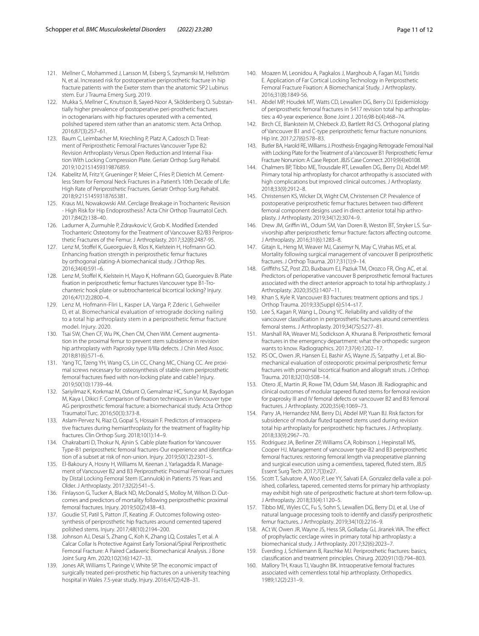- <span id="page-10-0"></span>121. Mellner C, Mohammed J, Larsson M, Esberg S, Szymanski M, Hellström N, et al. Increased risk for postoperative periprosthetic fracture in hip fracture patients with the Exeter stem than the anatomic SP2 Lubinus stem. Eur J Trauma Emerg Surg. 2019.
- <span id="page-10-1"></span>122. Mukka S, Mellner C, Knutsson B, Sayed-Noor A, Sköldenberg O. Substantially higher prevalence of postoperative peri-prosthetic fractures in octogenarians with hip fractures operated with a cemented, polished tapered stem rather than an anatomic stem. Acta Orthop. 2016;87(3):257–61.
- <span id="page-10-2"></span>123. Baum C, Leimbacher M, Kriechling P, Platz A, Cadosch D. Treatment of Periprosthetic Femoral Fractures Vancouver Type B2: Revision Arthroplasty Versus Open Reduction and Internal Fixation With Locking Compression Plate. Geriatr Orthop Surg Rehabil. 2019;10:2151459319876859.
- <span id="page-10-3"></span>124. Kabelitz M, Fritz Y, Grueninger P, Meier C, Fries P, Dietrich M. Cementless Stem for Femoral Neck Fractures in a Patient's 10th Decade of Life: High Rate of Periprosthetic Fractures. Geriatr Orthop Surg Rehabil. 2018;9:2151459318765381.
- <span id="page-10-4"></span>125. Kraus MJ, Nowakowski AM. Cerclage Breakage in Trochanteric Revision - High Risk for Hip Endoprosthesis? Acta Chir Orthop Traumatol Cech. 2017;84(2):138–40.
- <span id="page-10-5"></span>126. Ladurner A, Zurmuhle P, Zdravkovic V, Grob K. Modifed Extended Trochanteric Osteotomy for the Treatment of Vancouver B2/B3 Periprosthetic Fractures of the Femur. J Arthroplasty. 2017;32(8):2487-95.
- <span id="page-10-6"></span>127. Lenz M, Stofel K, Gueorguiev B, Klos K, Kielstein H, Hofmann GO. Enhancing fxation strength in periprosthetic femur fractures by orthogonal plating-A biomechanical study. J Orthop Res. 2016;34(4):591–6.
- <span id="page-10-7"></span>128. Lenz M, Stofel K, Kielstein H, Mayo K, Hofmann GO, Gueorguiev B. Plate fxation in periprosthetic femur fractures Vancouver type B1-Trochanteric hook plate or subtrochanterical bicortical locking? Injury. 2016;47(12):2800–4.
- <span id="page-10-8"></span>129. Lenz M, Hofmann-Fliri L, Kasper LA, Varga P, Zderic I, Gehweiler D, et al. Biomechanical evaluation of retrograde docking nailing to a total hip arthroplasty stem in a periprosthetic femur fracture model. Injury. 2020.
- <span id="page-10-9"></span>130. Tsai SW, Chen CF, Wu PK, Chen CM, Chen WM. Cement augmentation in the proximal femur to prevent stem subsidence in revision hip arthroplasty with Paprosky type II/IIIa defects. J Chin Med Assoc. 2018;81(6):571–6.
- <span id="page-10-10"></span>131. Yang TC, Tzeng YH, Wang CS, Lin CC, Chang MC, Chiang CC. Are proximal screws necessary for osteosynthesis of stable-stem periprosthetic femoral fractures fxed with non-locking plate and cable? Injury. 2019;50(10):1739–44.
- <span id="page-10-11"></span>132. Sariyilmaz K, Korkmaz M, Ozkunt O, Gemalmaz HC, Sungur M, Baydogan M, Kaya I, Dikici F. Comparison of fxation techniques in Vancouver type AG periprosthetic femoral fracture: a biomechanical study. Acta Orthop Traumatol Turc. 2016;50(3):373-8.
- <span id="page-10-12"></span>133. Aslam-Pervez N, Riaz O, Gopal S, Hossain F. Predictors of intraoperative fractures during hemiarthroplasty for the treatment of fragility hip fractures. Clin Orthop Surg. 2018;10(1):14–9.
- <span id="page-10-13"></span>134. Chakrabarti D, Thokur N, Ajnin S. Cable plate fxation for Vancouver Type-B1 periprosthetic femoral fractures-Our experience and identifcation of a subset at risk of non-union. Injury. 2019;50(12):2301–5.
- <span id="page-10-14"></span>135. El-Bakoury A, Hosny H, Williams M, Keenan J, Yarlagadda R. Management of Vancouver B2 and B3 Periprosthetic Proximal Femoral Fractures by Distal Locking Femoral Stem (Cannulok) in Patients 75 Years and Older. J Arthroplasty. 2017;32(2):541–5.
- <span id="page-10-15"></span>136. Finlayson G, Tucker A, Black ND, McDonald S, Molloy M, Wilson D. Outcomes and predictors of mortality following periprosthethic proximal femoral fractures. Injury. 2019;50(2):438–43.
- <span id="page-10-16"></span>137. Goudie ST, Patil S, Patton JT, Keating JF. Outcomes following osteosynthesis of periprosthetic hip fractures around cemented tapered polished stems. Injury. 2017;48(10):2194–200.
- <span id="page-10-17"></span>138. Johnson AJ, Desai S, Zhang C, Koh K, Zhang LQ, Costales T, et al. A Calcar Collar Is Protective Against Early Torsional/Spiral Periprosthetic Femoral Fracture: A Paired Cadaveric Biomechanical Analysis. J Bone Joint Surg Am. 2020;102(16):1427–33.
- <span id="page-10-18"></span>139. Jones AR, Williams T, Paringe V, White SP. The economic impact of surgically treated peri-prosthetic hip fractures on a university teaching hospital in Wales 7.5-year study. Injury. 2016;47(2):428–31.
- <span id="page-10-19"></span>140. Moazen M, Leonidou A, Pagkalos J, Marghoub A, Fagan MJ, Tsiridis E. Application of Far Cortical Locking Technology in Periprosthetic Femoral Fracture Fixation: A Biomechanical Study. J Arthroplasty. 2016;31(8):1849-56.
- <span id="page-10-20"></span>141. Abdel MP, Houdek MT, Watts CD, Lewallen DG, Berry DJ. Epidemiology of periprosthetic femoral fractures in 5417 revision total hip arthroplasties: a 40-year experience. Bone Joint J. 2016;98-b(4):468–74.
- <span id="page-10-21"></span>142. Birch CE, Blankstein M, Chlebeck JD, Bartlett Rd CS. Orthogonal plating of Vancouver B1 and C-type periprosthetic femur fracture nonunions. Hip Int. 2017;27(6):578–83.
- <span id="page-10-22"></span>143. Butler BA, Harold RE, Williams J. Prosthesis-Engaging Retrograde Femoral Nail with Locking Plate for the Treatment of a Vancouver B1 Periprosthetic Femur Fracture Nonunion: A Case Report. JBJS Case Connect. 2019;9(4):e0108.
- <span id="page-10-23"></span>144. Chalmers BP, Tibbo ME, Trousdale RT, Lewallen DG, Berry DJ, Abdel MP. Primary total hip arthroplasty for charcot arthropathy is associated with high complications but improved clinical outcomes. J Arthroplasty. 2018;33(9):2912–8.
- <span id="page-10-24"></span>145. Christensen KS, Wicker DI, Wight CM, Christensen CP. Prevalence of postoperative periprosthetic femur fractures between two diferent femoral component designs used in direct anterior total hip arthroplasty. J Arthroplasty. 2019;34(12):3074–9.
- <span id="page-10-25"></span>146. Drew JM, Griffin WL, Odum SM, Van Doren B, Weston BT, Stryker LS. Survivorship after periprosthetic femur fracture: factors afecting outcome. J Arthroplasty. 2016;31(6):1283–8.
- <span id="page-10-26"></span>147. Gitajn IL, Heng M, Weaver MJ, Casemyr N, May C, Vrahas MS, et al. Mortality following surgical management of vancouver B periprosthetic fractures. J Orthop Trauma. 2017;31(1):9–14.
- <span id="page-10-27"></span>148. Grifths SZ, Post ZD, Buxbaum EJ, Paziuk TM, Orozco FR, Ong AC, et al. Predictors of perioperative vancouver B periprosthetic femoral fractures associated with the direct anterior approach to total hip arthroplasty. J Arthroplasty. 2020;35(5):1407–11.
- <span id="page-10-28"></span>149. Khan S, Kyle R. Vancouver B3 fractures: treatment options and tips. J Orthop Trauma. 2019;33(Suppl 6):S14–s17.
- <span id="page-10-29"></span>150. Lee S, Kagan R, Wang L, Doung YC. Reliability and validity of the vancouver classifcation in periprosthetic fractures around cementless femoral stems. J Arthroplasty. 2019;34(7S):S277–81.
- <span id="page-10-30"></span>151. Marshall RA, Weaver MJ, Sodickson A, Khurana B. Periprosthetic femoral fractures in the emergency department: what the orthopedic surgeon wants to know. Radiographics. 2017;37(4):1202–17.
- <span id="page-10-31"></span>152. RS OC, Owen JR, Hansen EJ, Bashir AS, Wayne JS, Satpathy J, et al. Biomechanical evaluation of osteoporotic proximal periprosthetic femur fractures with proximal bicortical fxation and allograft struts. J Orthop Trauma. 2018;32(10):508–14.
- <span id="page-10-32"></span>153. Otero JE, Martin JR, Rowe TM, Odum SM, Mason JB. Radiographic and clinical outcomes of modular tapered futed stems for femoral revision for paprosky III and IV femoral defects or vancouver B2 and B3 femoral fractures. J Arthroplasty. 2020;35(4):1069–73.
- <span id="page-10-33"></span>154. Parry JA, Hernandez NM, Berry DJ, Abdel MP, Yuan BJ. Risk factors for subsidence of modular futed tapered stems used during revision total hip arthroplasty for periprosthetic hip fractures. J Arthroplasty. 2018;33(9):2967–70.
- <span id="page-10-34"></span>155. Rodriguez JA, Berliner ZP, Williams CA, Robinson J, Hepinstall MS, Cooper HJ. Management of vancouver type-B2 and B3 periprosthetic femoral fractures: restoring femoral length via preoperative planning and surgical execution using a cementless, tapered, futed stem. JBJS Essent Surg Tech. 2017;7(3):e27.
- <span id="page-10-35"></span>156. Scott T, Salvatore A, Woo P, Lee YY, Salvati EA. Gonzalez della valle a: polished, collarless, tapered, cemented stems for primary hip arthroplasty may exhibit high rate of periprosthetic fracture at short-term follow-up. J Arthroplasty. 2018;33(4):1120–5.
- <span id="page-10-36"></span>157. Tibbo ME, Wyles CC, Fu S, Sohn S, Lewallen DG, Berry DJ, et al. Use of natural language processing tools to identify and classify periprosthetic femur fractures. J Arthroplasty. 2019;34(10):2216–9.
- <span id="page-10-37"></span>158. ACt W, Owen JR, Wayne JS, Hess SR, Golladay GJ, Jiranek WA. The effect of prophylactic cerclage wires in primary total hip arthroplasty: a biomechanical study. J Arthroplasty. 2017;32(6):2023–7.
- <span id="page-10-38"></span>159. Everding J, Schliemann B, Raschke MJ. Periprosthetic fractures: basics, classifcation and treatment principles. Chirurg. 2020;91(10):794–803.
- <span id="page-10-39"></span>160. Mallory TH, Kraus TJ, Vaughn BK. Intraoperative femoral fractures associated with cementless total hip arthroplasty. Orthopedics. 1989;12(2):231–9.